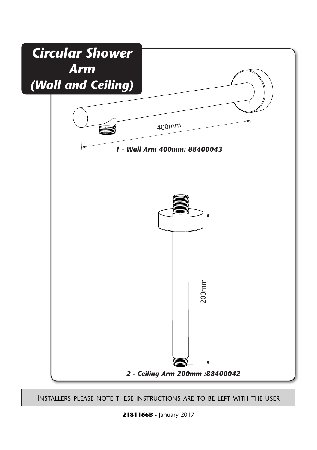

Installers please note these instructions are to be left with the user